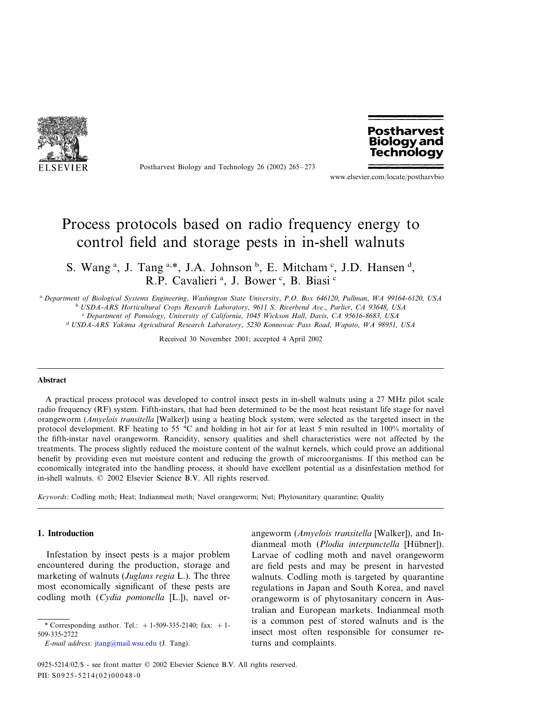

Postharvest Biology and Technology 26 (2002) 265–273



www.elsevier.com/locate/postharvbio

# Process protocols based on radio frequency energy to control field and storage pests in in-shell walnuts

S. Wang<sup>a</sup>, J. Tang<sup>a,\*</sup>, J.A. Johnson <sup>b</sup>, E. Mitcham<sup>c</sup>, J.D. Hansen<sup>d</sup>, R.P. Cavalieri<sup>a</sup>, J. Bower<sup>c</sup>, B. Biasi<sup>c</sup>

<sup>a</sup> *Department of Biological Systems Engineering*, *Washington State Uniersity*, *P*.*O*. *Box* <sup>646120</sup>, *Pullman*, *WA* <sup>99164</sup>-6120, *USA* <sup>b</sup> *USDA*-*ARS Horticultural Crops Research Laboratory*, <sup>9611</sup> *S*. *Rierbend Ae*., *Parlier*, *CA* <sup>93648</sup>, *USA* <sup>c</sup> *Department of Pomology*, *Uniersity of California*, <sup>1045</sup> *Wickson Hall*, *Dais*, *CA* <sup>95616</sup>-8683, *USA* <sup>d</sup> *USDA*-*ARS Yakima Agricultural Research Laboratory*, <sup>5230</sup> *Konnowac Pass Road*, *Wapato*, *WA* <sup>98951</sup>, *USA*

Received 30 November 2001; accepted 4 April 2002

#### **Abstract**

A practical process protocol was developed to control insect pests in in-shell walnuts using a 27 MHz pilot scale radio frequency (RF) system. Fifth-instars, that had been determined to be the most heat resistant life stage for navel orangeworm (*Amyelois transitella* [Walker]) using a heating block system, were selected as the targeted insect in the protocol development. RF heating to 55 °C and holding in hot air for at least 5 min resulted in 100% mortality of the fifth-instar navel orangeworm. Rancidity, sensory qualities and shell characteristics were not affected by the treatments. The process slightly reduced the moisture content of the walnut kernels, which could prove an additional benefit by providing even nut moisture content and reducing the growth of microorganisms. If this method can be economically integrated into the handling process, it should have excellent potential as a disinfestation method for in-shell walnuts. © 2002 Elsevier Science B.V. All rights reserved.

*Keywords*: Codling moth; Heat; Indianmeal moth; Navel orangeworm; Nut; Phytosanitary quarantine; Quality

# **1. Introduction**

Infestation by insect pests is a major problem encountered during the production, storage and marketing of walnuts (*Juglans regia* L.). The three most economically significant of these pests are codling moth (*Cydia pomonella* [L.]), navel or-

*E*-*mail address*: [jtang@mail.wsu.edu](mailto:jtang@mail.wsu.edu) (J. Tang).

angeworm (*Amyelois transitella* [Walker]), and Indianmeal moth (*Plodia interpunctella* [Hübner]). Larvae of codling moth and navel orangeworm are field pests and may be present in harvested walnuts. Codling moth is targeted by quarantine regulations in Japan and South Korea, and navel orangeworm is of phytosanitary concern in Australian and European markets. Indianmeal moth is a common pest of stored walnuts and is the insect most often responsible for consumer returns and complaints.

<sup>\*</sup> Corresponding author. Tel.:  $+1-509-335-2140$ ; fax:  $+1-$ 509-335-2722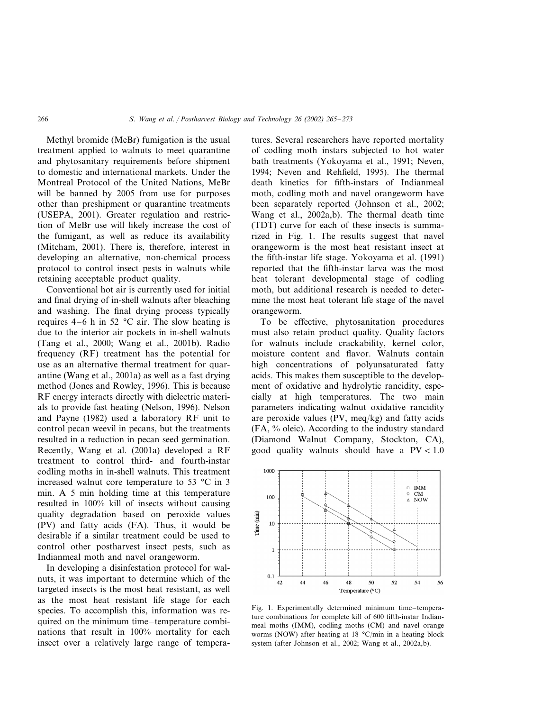Methyl bromide (MeBr) fumigation is the usual treatment applied to walnuts to meet quarantine and phytosanitary requirements before shipment to domestic and international markets. Under the Montreal Protocol of the United Nations, MeBr will be banned by 2005 from use for purposes other than preshipment or quarantine treatments (USEPA, 2001). Greater regulation and restriction of MeBr use will likely increase the cost of the fumigant, as well as reduce its availability (Mitcham, 2001). There is, therefore, interest in developing an alternative, non-chemical process protocol to control insect pests in walnuts while retaining acceptable product quality.

Conventional hot air is currently used for initial and final drying of in-shell walnuts after bleaching and washing. The final drying process typically requires  $4-6$  h in 52 °C air. The slow heating is due to the interior air pockets in in-shell walnuts (Tang et al., 2000; Wang et al., 2001b). Radio frequency (RF) treatment has the potential for use as an alternative thermal treatment for quarantine (Wang et al., 2001a) as well as a fast drying method (Jones and Rowley, 1996). This is because RF energy interacts directly with dielectric materials to provide fast heating (Nelson, 1996). Nelson and Payne (1982) used a laboratory RF unit to control pecan weevil in pecans, but the treatments resulted in a reduction in pecan seed germination. Recently, Wang et al. (2001a) developed a RF treatment to control third- and fourth-instar codling moths in in-shell walnuts. This treatment increased walnut core temperature to 53 °C in 3 min. A 5 min holding time at this temperature resulted in 100% kill of insects without causing quality degradation based on peroxide values (PV) and fatty acids (FA). Thus, it would be desirable if a similar treatment could be used to control other postharvest insect pests, such as Indianmeal moth and navel orangeworm.

In developing a disinfestation protocol for walnuts, it was important to determine which of the targeted insects is the most heat resistant, as well as the most heat resistant life stage for each species. To accomplish this, information was required on the minimum time–temperature combinations that result in 100% mortality for each insect over a relatively large range of temperatures. Several researchers have reported mortality of codling moth instars subjected to hot water bath treatments (Yokoyama et al., 1991; Neven, 1994; Neven and Rehfield, 1995). The thermal death kinetics for fifth-instars of Indianmeal moth, codling moth and navel orangeworm have been separately reported (Johnson et al., 2002; Wang et al., 2002a,b). The thermal death time (TDT) curve for each of these insects is summarized in Fig. 1. The results suggest that navel orangeworm is the most heat resistant insect at the fifth-instar life stage. Yokoyama et al. (1991) reported that the fifth-instar larva was the most heat tolerant developmental stage of codling moth, but additional research is needed to determine the most heat tolerant life stage of the navel orangeworm.

To be effective, phytosanitation procedures must also retain product quality. Quality factors for walnuts include crackability, kernel color, moisture content and flavor. Walnuts contain high concentrations of polyunsaturated fatty acids. This makes them susceptible to the development of oxidative and hydrolytic rancidity, especially at high temperatures. The two main parameters indicating walnut oxidative rancidity are peroxide values (PV, meq/kg) and fatty acids (FA, % oleic). According to the industry standard (Diamond Walnut Company, Stockton, CA), good quality walnuts should have a  $PV < 1.0$ 



Fig. 1. Experimentally determined minimum time–temperature combinations for complete kill of 600 fifth-instar Indianmeal moths (IMM), codling moths (CM) and navel orange worms (NOW) after heating at 18 °C/min in a heating block system (after Johnson et al., 2002; Wang et al., 2002a,b).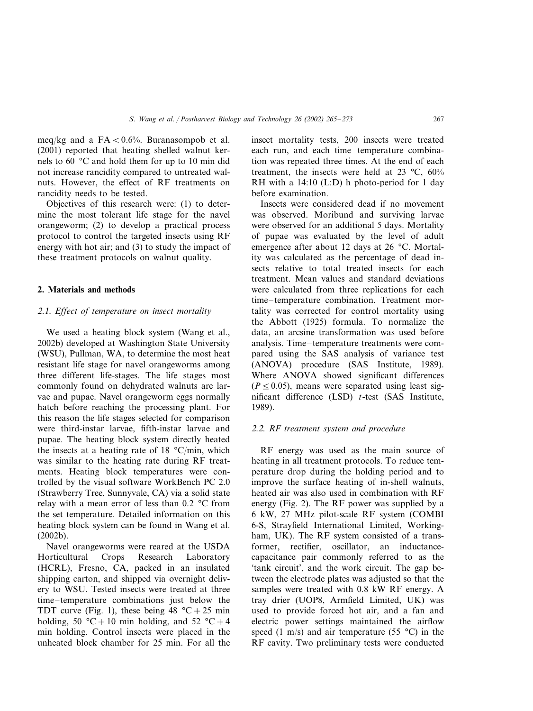meq/kg and a  $FA < 0.6\%$ . Buranasompob et al. (2001) reported that heating shelled walnut kernels to 60 °C and hold them for up to 10 min did not increase rancidity compared to untreated walnuts. However, the effect of RF treatments on rancidity needs to be tested.

Objectives of this research were: (1) to determine the most tolerant life stage for the navel orangeworm; (2) to develop a practical process protocol to control the targeted insects using RF energy with hot air; and (3) to study the impact of these treatment protocols on walnut quality.

## **2. Materials and methods**

# <sup>2</sup>.1. *Effect of temperature on insect mortality*

We used a heating block system (Wang et al., 2002b) developed at Washington State University (WSU), Pullman, WA, to determine the most heat resistant life stage for navel orangeworms among three different life-stages. The life stages most commonly found on dehydrated walnuts are larvae and pupae. Navel orangeworm eggs normally hatch before reaching the processing plant. For this reason the life stages selected for comparison were third-instar larvae, fifth-instar larvae and pupae. The heating block system directly heated the insects at a heating rate of 18  $^{\circ}$ C/min, which was similar to the heating rate during RF treatments. Heating block temperatures were controlled by the visual software WorkBench PC 2.0 (Strawberry Tree, Sunnyvale, CA) via a solid state relay with a mean error of less than 0.2 °C from the set temperature. Detailed information on this heating block system can be found in Wang et al. (2002b).

Navel orangeworms were reared at the USDA Horticultural Crops Research Laboratory (HCRL), Fresno, CA, packed in an insulated shipping carton, and shipped via overnight delivery to WSU. Tested insects were treated at three time–temperature combinations just below the TDT curve (Fig. 1), these being  $48 \text{ °C} + 25 \text{ min}$ holding, 50 °C + 10 min holding, and 52 °C + 4 min holding. Control insects were placed in the unheated block chamber for 25 min. For all the insect mortality tests, 200 insects were treated each run, and each time–temperature combination was repeated three times. At the end of each treatment, the insects were held at 23 °C, 60% RH with a 14:10 (L:D) h photo-period for 1 day before examination.

Insects were considered dead if no movement was observed. Moribund and surviving larvae were observed for an additional 5 days. Mortality of pupae was evaluated by the level of adult emergence after about 12 days at 26 °C. Mortality was calculated as the percentage of dead insects relative to total treated insects for each treatment. Mean values and standard deviations were calculated from three replications for each time–temperature combination. Treatment mortality was corrected for control mortality using the Abbott (1925) formula. To normalize the data, an arcsine transformation was used before analysis. Time–temperature treatments were compared using the SAS analysis of variance test (ANOVA) procedure (SAS Institute, 1989). Where ANOVA showed significant differences  $(P \le 0.05)$ , means were separated using least significant difference (LSD) *t*-test (SAS Institute, 1989).

## <sup>2</sup>.2. *RF treatment system and procedure*

RF energy was used as the main source of heating in all treatment protocols. To reduce temperature drop during the holding period and to improve the surface heating of in-shell walnuts, heated air was also used in combination with RF energy (Fig. 2). The RF power was supplied by a 6 kW, 27 MHz pilot-scale RF system (COMBI 6-S, Strayfield International Limited, Workingham, UK). The RF system consisted of a transformer, rectifier, oscillator, an inductancecapacitance pair commonly referred to as the 'tank circuit', and the work circuit. The gap between the electrode plates was adjusted so that the samples were treated with 0.8 kW RF energy. A tray drier (UOP8, Armfield Limited, UK) was used to provide forced hot air, and a fan and electric power settings maintained the airflow speed (1 m/s) and air temperature (55  $^{\circ}$ C) in the RF cavity. Two preliminary tests were conducted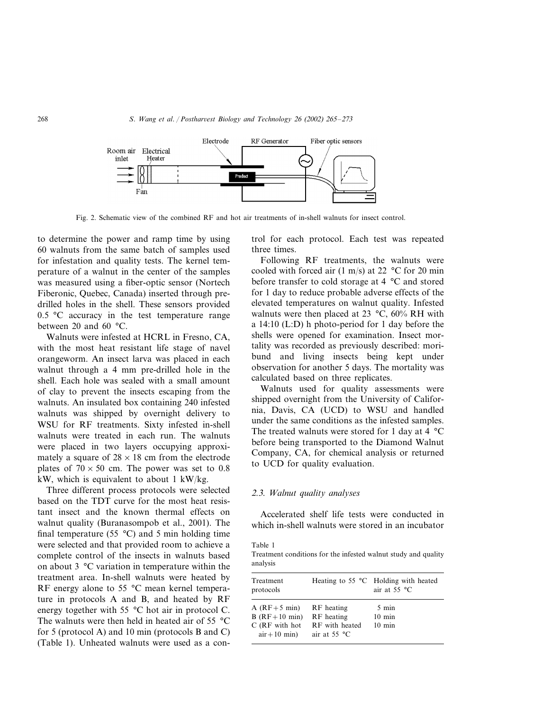

Fig. 2. Schematic view of the combined RF and hot air treatments of in-shell walnuts for insect control.

to determine the power and ramp time by using 60 walnuts from the same batch of samples used for infestation and quality tests. The kernel temperature of a walnut in the center of the samples was measured using a fiber-optic sensor (Nortech Fiberonic, Quebec, Canada) inserted through predrilled holes in the shell. These sensors provided  $0.5$  °C accuracy in the test temperature range between 20 and 60 °C.

Walnuts were infested at HCRL in Fresno, CA, with the most heat resistant life stage of navel orangeworm. An insect larva was placed in each walnut through a 4 mm pre-drilled hole in the shell. Each hole was sealed with a small amount of clay to prevent the insects escaping from the walnuts. An insulated box containing 240 infested walnuts was shipped by overnight delivery to WSU for RF treatments. Sixty infested in-shell walnuts were treated in each run. The walnuts were placed in two layers occupying approximately a square of  $28 \times 18$  cm from the electrode plates of  $70 \times 50$  cm. The power was set to 0.8 kW, which is equivalent to about 1 kW/kg.

Three different process protocols were selected based on the TDT curve for the most heat resistant insect and the known thermal effects on walnut quality (Buranasompob et al., 2001). The final temperature (55  $^{\circ}$ C) and 5 min holding time were selected and that provided room to achieve a complete control of the insects in walnuts based on about 3 °C variation in temperature within the treatment area. In-shell walnuts were heated by RF energy alone to 55 °C mean kernel temperature in protocols A and B, and heated by RF energy together with 55 °C hot air in protocol C. The walnuts were then held in heated air of 55 °C for 5 (protocol A) and 10 min (protocols B and C) (Table 1). Unheated walnuts were used as a control for each protocol. Each test was repeated three times.

Following RF treatments, the walnuts were cooled with forced air  $(1 \text{ m/s})$  at 22 °C for 20 min before transfer to cold storage at 4 °C and stored for 1 day to reduce probable adverse effects of the elevated temperatures on walnut quality. Infested walnuts were then placed at 23 °C, 60% RH with a 14:10 (L:D) h photo-period for 1 day before the shells were opened for examination. Insect mortality was recorded as previously described: moribund and living insects being kept under observation for another 5 days. The mortality was calculated based on three replicates.

Walnuts used for quality assessments were shipped overnight from the University of California, Davis, CA (UCD) to WSU and handled under the same conditions as the infested samples. The treated walnuts were stored for 1 day at 4 °C before being transported to the Diamond Walnut Company, CA, for chemical analysis or returned to UCD for quality evaluation.

## <sup>2</sup>.3. *Walnut quality analyses*

Accelerated shelf life tests were conducted in which in-shell walnuts were stored in an incubator

| Table 1                                                        |  |  |  |
|----------------------------------------------------------------|--|--|--|
| Treatment conditions for the infested walnut study and quality |  |  |  |
| analysis                                                       |  |  |  |

| Treatment<br>protocols                                                 |                                                              | Heating to $55^{\circ}$ C Holding with heated<br>air at $55 °C$ |
|------------------------------------------------------------------------|--------------------------------------------------------------|-----------------------------------------------------------------|
| $A$ (RF+5 min)<br>$B$ (RF+10 min)<br>C (RF with hot<br>$air + 10$ min) | RF heating<br>RF heating<br>RF with heated<br>air at $55 °C$ | 5 min<br>$10 \text{ min}$<br>$10 \text{ min}$                   |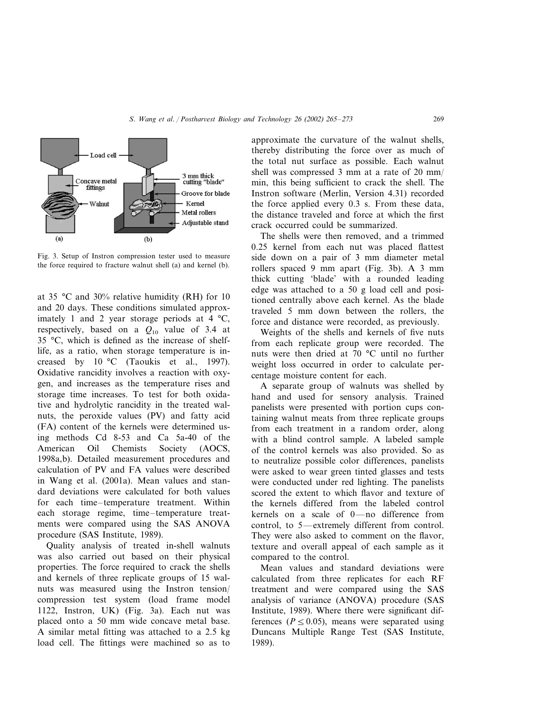

Fig. 3. Setup of Instron compression tester used to measure the force required to fracture walnut shell (a) and kernel (b).

at 35 °C and 30% relative humidity (RH) for 10 and 20 days. These conditions simulated approximately 1 and 2 year storage periods at 4 °C, respectively, based on a  $Q_{10}$  value of 3.4 at 35 °C, which is defined as the increase of shelflife, as a ratio, when storage temperature is increased by 10 °C (Taoukis et al., 1997). Oxidative rancidity involves a reaction with oxygen, and increases as the temperature rises and storage time increases. To test for both oxidative and hydrolytic rancidity in the treated walnuts, the peroxide values (PV) and fatty acid (FA) content of the kernels were determined using methods Cd 8-53 and Ca 5a-40 of the American Oil Chemists Society (AOCS, 1998a,b). Detailed measurement procedures and calculation of PV and FA values were described in Wang et al. (2001a). Mean values and standard deviations were calculated for both values for each time–temperature treatment. Within each storage regime, time–temperature treatments were compared using the SAS ANOVA procedure (SAS Institute, 1989).

Quality analysis of treated in-shell walnuts was also carried out based on their physical properties. The force required to crack the shells and kernels of three replicate groups of 15 walnuts was measured using the Instron tension/ compression test system (load frame model 1122, Instron, UK) (Fig. 3a). Each nut was placed onto a 50 mm wide concave metal base. A similar metal fitting was attached to a 2.5 kg load cell. The fittings were machined so as to

approximate the curvature of the walnut shells, thereby distributing the force over as much of the total nut surface as possible. Each walnut shell was compressed 3 mm at a rate of 20 mm/ min, this being sufficient to crack the shell. The Instron software (Merlin, Version 4.31) recorded the force applied every 0.3 s. From these data, the distance traveled and force at which the first crack occurred could be summarized.

The shells were then removed, and a trimmed 0.25 kernel from each nut was placed flattest side down on a pair of 3 mm diameter metal rollers spaced 9 mm apart (Fig. 3b). A 3 mm thick cutting 'blade' with a rounded leading edge was attached to a 50 g load cell and positioned centrally above each kernel. As the blade traveled 5 mm down between the rollers, the force and distance were recorded, as previously.

Weights of the shells and kernels of five nuts from each replicate group were recorded. The nuts were then dried at 70 °C until no further weight loss occurred in order to calculate percentage moisture content for each.

A separate group of walnuts was shelled by hand and used for sensory analysis. Trained panelists were presented with portion cups containing walnut meats from three replicate groups from each treatment in a random order, along with a blind control sample. A labeled sample of the control kernels was also provided. So as to neutralize possible color differences, panelists were asked to wear green tinted glasses and tests were conducted under red lighting. The panelists scored the extent to which flavor and texture of the kernels differed from the labeled control kernels on a scale of 0—no difference from control, to 5—extremely different from control. They were also asked to comment on the flavor, texture and overall appeal of each sample as it compared to the control.

Mean values and standard deviations were calculated from three replicates for each RF treatment and were compared using the SAS analysis of variance (ANOVA) procedure (SAS Institute, 1989). Where there were significant differences ( $P \le 0.05$ ), means were separated using Duncans Multiple Range Test (SAS Institute, 1989).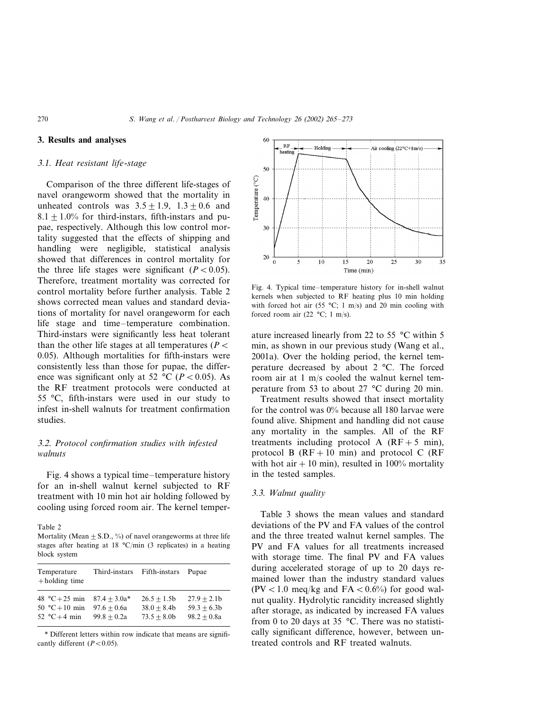# **3. Results and analyses**

#### 3.1. *Heat resistant life*-*stage*

Comparison of the three different life-stages of navel orangeworm showed that the mortality in unheated controls was  $3.5 \pm 1.9$ ,  $1.3 \pm 0.6$  and  $8.1 + 1.0\%$  for third-instars, fifth-instars and pupae, respectively. Although this low control mortality suggested that the effects of shipping and handling were negligible, statistical analysis showed that differences in control mortality for the three life stages were significant  $(P < 0.05)$ . Therefore, treatment mortality was corrected for control mortality before further analysis. Table 2 shows corrected mean values and standard deviations of mortality for navel orangeworm for each life stage and time–temperature combination. Third-instars were significantly less heat tolerant than the other life stages at all temperatures ( $P$  < 0.05). Although mortalities for fifth-instars were consistently less than those for pupae, the difference was significant only at 52 °C ( $P < 0.05$ ). As the RF treatment protocols were conducted at 55 °C, fifth-instars were used in our study to infest in-shell walnuts for treatment confirmation studies.

# 3.2. *Protocol confirmation studies with infested walnuts*

Fig. 4 shows a typical time–temperature history for an in-shell walnut kernel subjected to RF treatment with 10 min hot air holding followed by cooling using forced room air. The kernel temper-

Table 2

Mortality (Mean  $\pm$  S.D., %) of navel orangeworms at three life stages after heating at 18 °C/min (3 replicates) in a heating block system

| Temperature<br>$+$ holding time | Third-instars  | Fifth-instars | Pupae         |
|---------------------------------|----------------|---------------|---------------|
| 48 °C + 25 min                  | $87.4 + 3.0a*$ | $26.5 + 1.5b$ | $27.9 + 2.1b$ |
| 50 °C + 10 min                  | $97.6 + 0.6a$  | $38.0 + 8.4b$ | $59.3 + 6.3b$ |
| 52 °C+4 min                     | $99.8 + 0.2a$  | $73.5 + 8.0b$ | $98.2 + 0.8a$ |

\* Different letters within row indicate that means are significantly different  $(P<0.05)$ .



Fig. 4. Typical time–temperature history for in-shell walnut kernels when subjected to RF heating plus 10 min holding with forced hot air (55  $^{\circ}$ C; 1 m/s) and 20 min cooling with forced room air (22  $\textdegree C$ ; 1 m/s).

ature increased linearly from 22 to 55 °C within 5 min, as shown in our previous study (Wang et al., 2001a). Over the holding period, the kernel temperature decreased by about 2 °C. The forced room air at 1 m/s cooled the walnut kernel temperature from 53 to about 27 °C during 20 min.

Treatment results showed that insect mortality for the control was 0% because all 180 larvae were found alive. Shipment and handling did not cause any mortality in the samples. All of the RF treatments including protocol A  $(RF + 5 min)$ , protocol B  $(RF + 10 \text{ min})$  and protocol C  $(RF)$ with hot air  $+10$  min), resulted in 100% mortality in the tested samples.

#### 3.3. *Walnut quality*

Table 3 shows the mean values and standard deviations of the PV and FA values of the control and the three treated walnut kernel samples. The PV and FA values for all treatments increased with storage time. The final PV and FA values during accelerated storage of up to 20 days remained lower than the industry standard values  $(PV < 1.0$  meq/kg and  $FA < 0.6\%$  for good walnut quality. Hydrolytic rancidity increased slightly after storage, as indicated by increased FA values from 0 to 20 days at 35 °C. There was no statistically significant difference, however, between untreated controls and RF treated walnuts.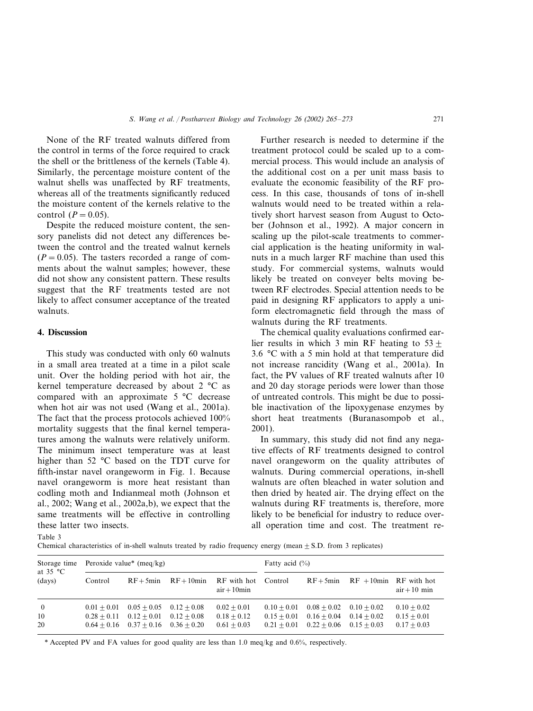None of the RF treated walnuts differed from the control in terms of the force required to crack the shell or the brittleness of the kernels (Table 4). Similarly, the percentage moisture content of the walnut shells was unaffected by RF treatments, whereas all of the treatments significantly reduced the moisture content of the kernels relative to the control  $(P=0.05)$ .

Despite the reduced moisture content, the sensory panelists did not detect any differences between the control and the treated walnut kernels  $(P = 0.05)$ . The tasters recorded a range of comments about the walnut samples; however, these did not show any consistent pattern. These results suggest that the RF treatments tested are not likely to affect consumer acceptance of the treated walnuts.

## **4. Discussion**

This study was conducted with only 60 walnuts in a small area treated at a time in a pilot scale unit. Over the holding period with hot air, the kernel temperature decreased by about 2 °C as compared with an approximate 5 °C decrease when hot air was not used (Wang et al., 2001a). The fact that the process protocols achieved 100% mortality suggests that the final kernel temperatures among the walnuts were relatively uniform. The minimum insect temperature was at least higher than 52 °C based on the TDT curve for fifth-instar navel orangeworm in Fig. 1. Because navel orangeworm is more heat resistant than codling moth and Indianmeal moth (Johnson et al., 2002; Wang et al., 2002a,b), we expect that the same treatments will be effective in controlling these latter two insects.

Further research is needed to determine if the treatment protocol could be scaled up to a commercial process. This would include an analysis of the additional cost on a per unit mass basis to evaluate the economic feasibility of the RF process. In this case, thousands of tons of in-shell walnuts would need to be treated within a relatively short harvest season from August to October (Johnson et al., 1992). A major concern in scaling up the pilot-scale treatments to commercial application is the heating uniformity in walnuts in a much larger RF machine than used this study. For commercial systems, walnuts would likely be treated on conveyer belts moving between RF electrodes. Special attention needs to be paid in designing RF applicators to apply a uniform electromagnetic field through the mass of walnuts during the RF treatments.

The chemical quality evaluations confirmed earlier results in which 3 min RF heating to  $53 \pm$ 3.6 °C with a 5 min hold at that temperature did not increase rancidity (Wang et al., 2001a). In fact, the PV values of RF treated walnuts after 10 and 20 day storage periods were lower than those of untreated controls. This might be due to possible inactivation of the lipoxygenase enzymes by short heat treatments (Buranasompob et al., 2001).

In summary, this study did not find any negative effects of RF treatments designed to control navel orangeworm on the quality attributes of walnuts. During commercial operations, in-shell walnuts are often bleached in water solution and then dried by heated air. The drying effect on the walnuts during RF treatments is, therefore, more likely to be beneficial for industry to reduce overall operation time and cost. The treatment re-

Table 3

Chemical characteristics of in-shell walnuts treated by radio frequency energy (mean  $+$  S.D. from 3 replicates)

| Storage time<br>at $35 °C$ |                                | Peroxide value* $(meq/kg)$                                                  |                                |                                                               | Fatty acid $(\% )$             |                                                                                           |                                    |                                                 |
|----------------------------|--------------------------------|-----------------------------------------------------------------------------|--------------------------------|---------------------------------------------------------------|--------------------------------|-------------------------------------------------------------------------------------------|------------------------------------|-------------------------------------------------|
| (days)                     | Control                        |                                                                             |                                | $RF + 5min$ $RF + 10min$ RF with hot Control<br>$air + 10min$ |                                |                                                                                           | $RF + 5min$ RF + 10min RF with hot | $air + 10$ min                                  |
| $\overline{0}$<br>10<br>20 | $0.01 + 0.01$<br>$0.28 + 0.11$ | $0.05 + 0.05$<br>$0.12 + 0.01$<br>$0.64 + 0.16$ $0.37 + 0.16$ $0.36 + 0.20$ | $0.12 + 0.08$<br>$0.12 + 0.08$ | $0.02 + 0.01$<br>$0.18 + 0.12$<br>$0.61 + 0.03$               | $0.10 + 0.01$<br>$0.15 + 0.01$ | $0.08 + 0.02$ $0.10 + 0.02$<br>$0.16 + 0.04$<br>$0.21 + 0.01$ $0.22 + 0.06$ $0.15 + 0.03$ | $0.14 + 0.02$                      | $0.10 + 0.02$<br>$0.15 + 0.01$<br>$0.17 + 0.03$ |

\* Accepted PV and FA values for good quality are less than 1.0 meq/kg and 0.6%, respectively.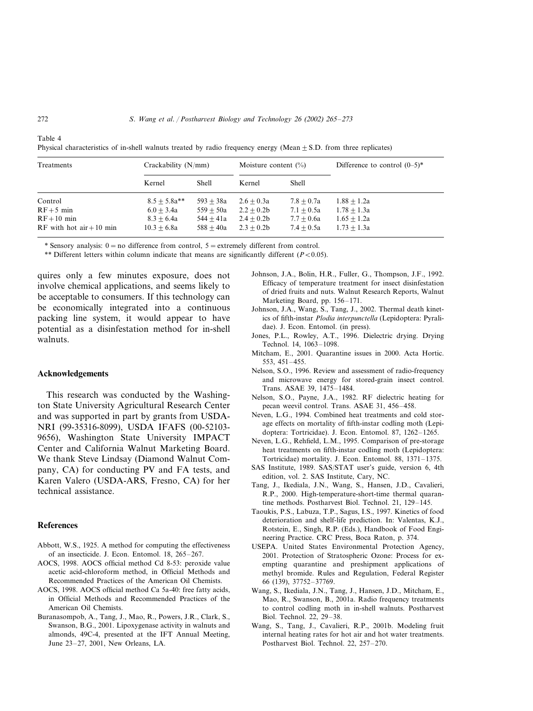| Treatments                 |                | Crackability (N/mm) |              | Moisture content $(\%)$ | Difference to control $(0-5)^*$ |  |
|----------------------------|----------------|---------------------|--------------|-------------------------|---------------------------------|--|
|                            | Kernel         | <b>Shell</b>        | Kernel       | Shell                   |                                 |  |
| Control                    | $8.5 + 5.8a**$ | $593 + 38a$         | $2.6 + 0.3a$ | $7.8 + 0.7a$            | $1.88 + 1.2a$                   |  |
| $RF+5$ min                 | $6.0 + 3.4a$   | $559 + 50a$         | $2.2 + 0.2b$ | $7.1 + 0.5a$            | $1.78 + 1.3a$                   |  |
| $RF+10$ min                | $8.3 + 6.4a$   | $544 + 41a$         | $2.4 + 0.2b$ | $7.7 + 0.6a$            | $1.65 + 1.2a$                   |  |
| RF with hot $air + 10$ min | $10.3 + 6.8a$  | $588 + 40a$         | $2.3 + 0.2b$ | $7.4 + 0.5a$            | $1.73 + 1.3a$                   |  |

Physical characteristics of in-shell walnuts treated by radio frequency energy (Mean  $+$  S.D. from three replicates)

\* Sensory analysis:  $0 = no$  difference from control,  $5 =$  extremely different from control.

\*\* Different letters within column indicate that means are significantly different  $(P<0.05)$ .

quires only a few minutes exposure, does not involve chemical applications, and seems likely to be acceptable to consumers. If this technology can be economically integrated into a continuous packing line system, it would appear to have potential as a disinfestation method for in-shell walnuts.

### **Acknowledgements**

This research was conducted by the Washington State University Agricultural Research Center and was supported in part by grants from USDA-NRI (99-35316-8099), USDA IFAFS (00-52103- 9656), Washington State University IMPACT Center and California Walnut Marketing Board. We thank Steve Lindsay (Diamond Walnut Company, CA) for conducting PV and FA tests, and Karen Valero (USDA-ARS, Fresno, CA) for her technical assistance.

#### **References**

- Abbott, W.S., 1925. A method for computing the effectiveness of an insecticide. J. Econ. Entomol. 18, 265–267.
- AOCS, 1998. AOCS official method Cd 8-53: peroxide value acetic acid-chloroform method, in Official Methods and Recommended Practices of the American Oil Chemists.
- AOCS, 1998. AOCS official method Ca 5a-40: free fatty acids, in Official Methods and Recommended Practices of the American Oil Chemists.
- Buranasompob, A., Tang, J., Mao, R., Powers, J.R., Clark, S., Swanson, B.G., 2001. Lipoxygenase activity in walnuts and almonds, 49C-4, presented at the IFT Annual Meeting, June 23–27, 2001, New Orleans, LA.
- Johnson, J.A., Bolin, H.R., Fuller, G., Thompson, J.F., 1992. Efficacy of temperature treatment for insect disinfestation of dried fruits and nuts. Walnut Research Reports, Walnut Marketing Board, pp. 156–171.
- Johnson, J.A., Wang, S., Tang, J., 2002. Thermal death kinetics of fifth-instar *Plodia interpunctella* (Lepidoptera: Pyralidae). J. Econ. Entomol. (in press).
- Jones, P.L., Rowley, A.T., 1996. Dielectric drying. Drying Technol. 14, 1063–1098.
- Mitcham, E., 2001. Quarantine issues in 2000. Acta Hortic. 553, 451–455.
- Nelson, S.O., 1996. Review and assessment of radio-frequency and microwave energy for stored-grain insect control. Trans. ASAE 39, 1475–1484.
- Nelson, S.O., Payne, J.A., 1982. RF dielectric heating for pecan weevil control. Trans. ASAE 31, 456–458.
- Neven, L.G., 1994. Combined heat treatments and cold storage effects on mortality of fifth-instar codling moth (Lepidoptera: Tortricidae). J. Econ. Entomol. 87, 1262–1265.
- Neven, L.G., Rehfield, L.M., 1995. Comparison of pre-storage heat treatments on fifth-instar codling moth (Lepidoptera: Tortricidae) mortality. J. Econ. Entomol. 88, 1371–1375.
- SAS Institute, 1989. SAS/STAT user's guide, version 6, 4th edition, vol. 2. SAS Institute, Cary, NC.
- Tang, J., Ikediala, J.N., Wang, S., Hansen, J.D., Cavalieri, R.P., 2000. High-temperature-short-time thermal quarantine methods. Postharvest Biol. Technol. 21, 129–145.
- Taoukis, P.S., Labuza, T.P., Sagus, I.S., 1997. Kinetics of food deterioration and shelf-life prediction. In: Valentas, K.J., Rotstein, E., Singh, R.P. (Eds.), Handbook of Food Engineering Practice. CRC Press, Boca Raton, p. 374.
- USEPA. United States Environmental Protection Agency, 2001. Protection of Stratospheric Ozone: Process for exempting quarantine and preshipment applications of methyl bromide. Rules and Regulation, Federal Register 66 (139), 37752–37769.
- Wang, S., Ikediala, J.N., Tang, J., Hansen, J.D., Mitcham, E., Mao, R., Swanson, B., 2001a. Radio frequency treatments to control codling moth in in-shell walnuts. Postharvest Biol. Technol. 22, 29–38.
- Wang, S., Tang, J., Cavalieri, R.P., 2001b. Modeling fruit internal heating rates for hot air and hot water treatments. Postharvest Biol. Technol. 22, 257–270.

Table 4